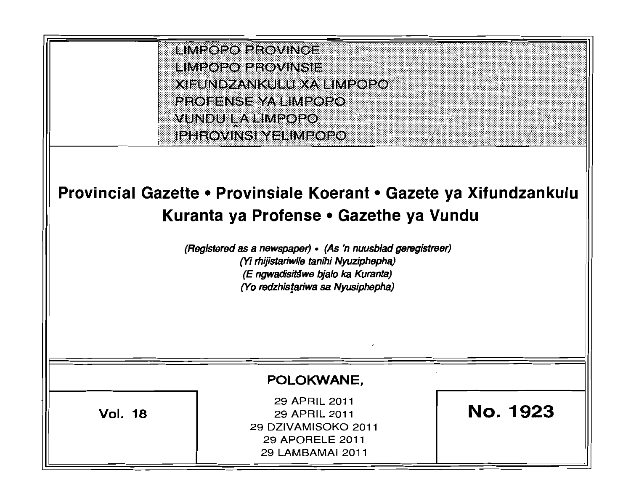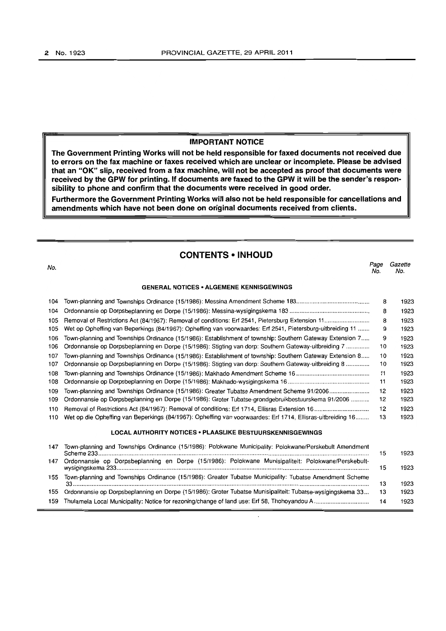#### **IMPORTANT NOTICE**

**The Government Printing Works will not be held responsible for faxed documents not received due to errors on the fax machine or faxes received which are unclear or incomplete. Please be advised that an "OK" slip, received from a fax machine, will not be accepted as proof that documents were received by the GPW for printing. If documents are faxed to the GPW it will be the sender's responsibility to phone and confirm that the documents were received in good order.** 

**Furthermore the Government Printing Works will also not be held responsible for cancellations and amendments which have not been done on original documents received from clients.** 

## **CONTENTS • INHOUD**

no.<br>No. 1986 - Page Gazette Barcelona e Santo Care e Santo Care e Santo Care e Santo Care e Santo Care e Santo Ca  $N_0$   $N_0$ 

### **GENERAL. NOTICES· ALGEMENE KENNISGEWINGS**

| 104 |                                                                                                             | 8  | 1923 |
|-----|-------------------------------------------------------------------------------------------------------------|----|------|
| 104 |                                                                                                             | 8  | 1923 |
| 105 |                                                                                                             | 8  | 1923 |
| 105 | Wet op Opheffing van Beperkings (84/1967): Opheffing van voorwaardes: Erf 2541, Pietersburg-uitbreiding 11  | 9  | 1923 |
| 106 | Town-planning and Townships Ordinance (15/1986): Establishment of township: Southern Gateway Extension 7    | 9  | 1923 |
| 106 | Ordonnansie op Dorpsbeplanning en Dorpe (15/1986): Stigting van dorp: Southern Gateway-uitbreiding 7        | 10 | 1923 |
| 107 | Town-planning and Townships Ordinance (15/1986): Establishment of township: Southern Gateway Extension 8    | 10 | 1923 |
| 107 | Ordonnansie op Dorpsbeplanning en Dorpe (15/1986): Stigting van dorp: Southern Gateway-uitbreiding 8        | 10 | 1923 |
| 108 |                                                                                                             | 11 | 1923 |
| 108 |                                                                                                             | 11 | 1923 |
| 109 | Town-planning and Townships Ordinance (15/1986): Greater Tubatse Amendment Scheme 91/2006                   | 12 | 1923 |
| 109 | Ordonnansie op Dorpsbeplanning en Dorpe (15/1986): Groter Tubatse-grondgebruikbestuurskema 91/2006          | 12 | 1923 |
| 110 |                                                                                                             | 12 | 1923 |
| 110 | Wet op die Opheffing van Beperkings (84/1967): Opheffing van voorwaardes: Erf 1714, Ellisras-uitbreiding 16 | 13 | 1923 |
|     | <b>LOCAL AUTHORITY NOTICES • PLAASLIKE BESTUURSKENNISGEWINGS</b>                                            |    |      |
| 147 | Town-planning and Townships Ordinance (15/1986): Polokwane Municipality: Polokwane/Perskebult Amendment     | 15 | 1923 |
| 147 | Ordonnansie op Dorpsbeplanning en Dorpe (15/1986): Polokwane Munisipaliteit: Polokwane/Perskebult-          | 15 | 1923 |
| 155 | Town-planning and Townships Ordinance (15/1986): Greater Tubatse Municipality: Tubatse Amendment Scheme     | 13 | 1923 |
|     |                                                                                                             |    |      |

155 Ordonnansie op Dorpsbeplanning en Dorpe (15/1986): Groter Tubatse Munisipaliteit: Tubatse-wysigingskema 33... 13 1923 159 Thulamela Local Municipality: Notice for rezoning/change of land use: Erf 58, Thohoyandou A................................. 14 1923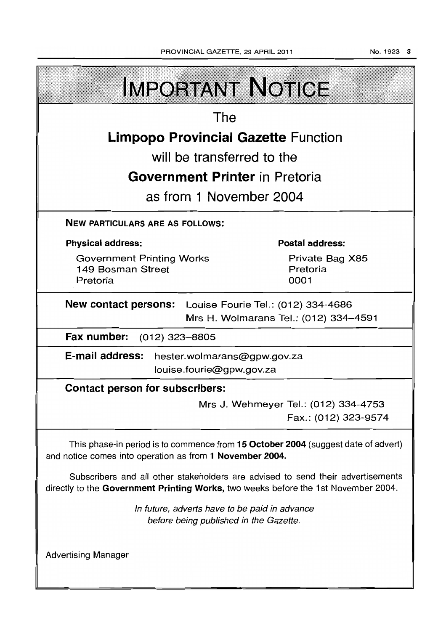NO.1923 3

| <b>IMPORTANT NOTICE</b>                                                                                                                                               |                                                              |  |  |  |
|-----------------------------------------------------------------------------------------------------------------------------------------------------------------------|--------------------------------------------------------------|--|--|--|
| The                                                                                                                                                                   |                                                              |  |  |  |
| <b>Limpopo Provincial Gazette Function</b>                                                                                                                            |                                                              |  |  |  |
| will be transferred to the                                                                                                                                            |                                                              |  |  |  |
| <b>Government Printer</b> in Pretoria                                                                                                                                 |                                                              |  |  |  |
| as from 1 November 2004                                                                                                                                               |                                                              |  |  |  |
| <b>NEW PARTICULARS ARE AS FOLLOWS:</b>                                                                                                                                |                                                              |  |  |  |
| <b>Physical address:</b>                                                                                                                                              | <b>Postal address:</b>                                       |  |  |  |
| <b>Government Printing Works</b><br>149 Bosman Street<br>Pretoria                                                                                                     | Private Bag X85<br>Pretoria<br>0001                          |  |  |  |
| <b>New contact persons:</b> Louise Fourie Tel.: (012) 334-4686<br>Mrs H. Wolmarans Tel.: (012) 334-4591                                                               |                                                              |  |  |  |
| Fax number:<br>(012) 323–8805                                                                                                                                         |                                                              |  |  |  |
| E-mail address: hester.wolmarans@gpw.gov.za<br>louise.fourie@gpw.gov.za                                                                                               |                                                              |  |  |  |
| <b>Contact person for subscribers:</b>                                                                                                                                |                                                              |  |  |  |
|                                                                                                                                                                       | Mrs J. Wehmeyer Tel.: (012) 334-4753<br>Fax.: (012) 323-9574 |  |  |  |
| This phase-in period is to commence from 15 October 2004 (suggest date of advert)<br>and notice comes into operation as from 1 November 2004.                         |                                                              |  |  |  |
| Subscribers and all other stakeholders are advised to send their advertisements<br>directly to the Government Printing Works, two weeks before the 1st November 2004. |                                                              |  |  |  |
| In future, adverts have to be paid in advance<br>before being published in the Gazette.                                                                               |                                                              |  |  |  |
| <b>Advertising Manager</b>                                                                                                                                            |                                                              |  |  |  |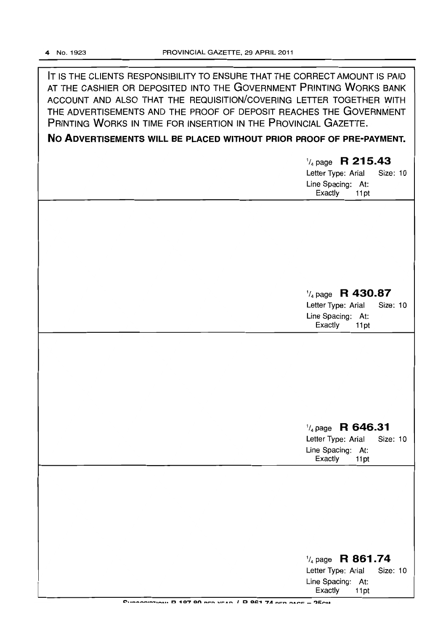IT IS THE CLIENTS RESPONSIBILITY TO ENSURE THAT THE CORRECT AMOUNT IS PAID AT THE CASHIER OR DEPOSITED INTO THE GOVERNMENT PRINTING WORKS BANK ACCOUNT AND ALSO THAT THE REQUISITION/COVERING LETTER TOGETHER WITH THE ADVERTISEMENTS AND THE PROOF OF DEPOSIT REACHES THE GOVERNMENT PRINTING WORKS IN TIME FOR INSERTION IN THE PROVINCIAL GAZETTE.

## **No ADVERTISEMENTS WILL BE PLACED WITHOUT PRIOR PROOF OF PRE-PAYMENT.**

| $\frac{1}{4}$ page R 215.43<br>Letter Type: Arial<br>Size: 10<br>Line Spacing: At:<br>Exactly<br>11pt |
|-------------------------------------------------------------------------------------------------------|
|                                                                                                       |
| $\frac{1}{4}$ page R 430.87<br>Letter Type: Arial<br>Size: 10<br>Line Spacing: At:<br>Exactly<br>11pt |
|                                                                                                       |
| $\frac{1}{4}$ page R 646.31<br>Letter Type: Arial<br>Size: 10<br>Line Spacing: At:<br>Exactly<br>11pt |
|                                                                                                       |
| $\frac{1}{4}$ page R 861.74<br>Letter Type: Arial<br>Size: 10<br>Line Spacing: At:                    |

CURRODISTION: D 197 90 BED VEAR / D 961 74 BED BACE = 25CM

Exactly 11 pt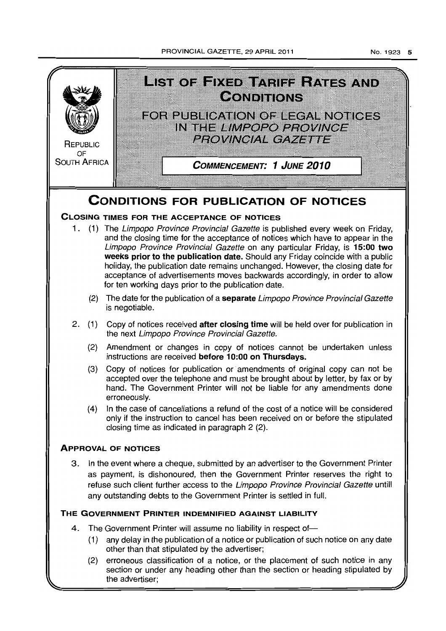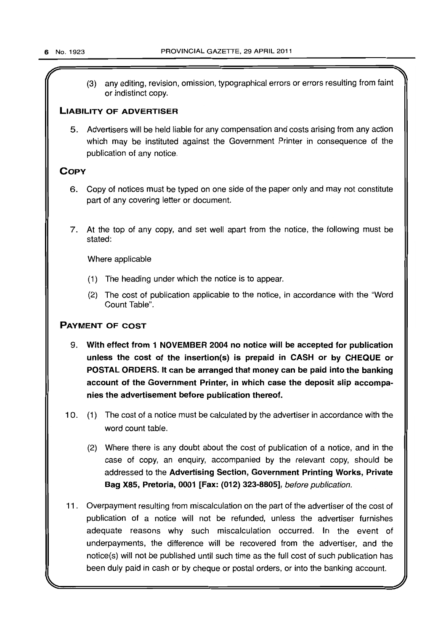(3) any editing, revision, omission, typographical errors or errors resulting from faint or indistinct copy.

## LIABILITY OF ADVERTISER

5. Advertisers will be held liable for any compensation and costs arising from any action which may be instituted against the Government Printer in consequence of the publication of any notice.

## **COPY**

- 6. Copy of notices must be typed on one side of the paper only and may not constitute part of any covering letter or document.
- 7. At the top of any copy, and set well apart from the notice, the following must be stated:

Where applicable

- (1) The heading under which the notice is to appear.
- (2) The cost of publication applicable to the notice, in accordance with the "Word Count Table".

## PAYMENT OF COST

- 9. With effect from 1 NOVEMBER 2004 no notice will be accepted for publication unless the cost of the insertion(s) is prepaid in CASH or by CHEQUE or POSTAL ORDERS. It can be arranged that money can be paid into the banking account of the Government Printer, in which case the deposit slip accompanies the advertisement before publication thereof.
- 10. (1) The cost of a notice must be calculated by the advertiser in accordance with the word count table.
	- (2) Where there is any doubt about the cost of publication of a notice, and in the case of copy, an enquiry, accompanied by the relevant copy, should be addressed to the Advertising Section, Government Printing Works, Private Bag X85, Pretoria, 0001 [Fax: (012) 323-8805], before publication.
- 11. Overpayment resulting from miscalculation on the part of the advertiser of the cost of publication of a notice will not be refunded, unless the advertiser furnishes adequate reasons why such miscalculation occurred. In the event of underpayments, the difference will be recovered from the advertiser, and the notice(s) will not be published until such time as the full cost of such publication has been duly paid in cash or by cheque or postal orders, or into the banking account.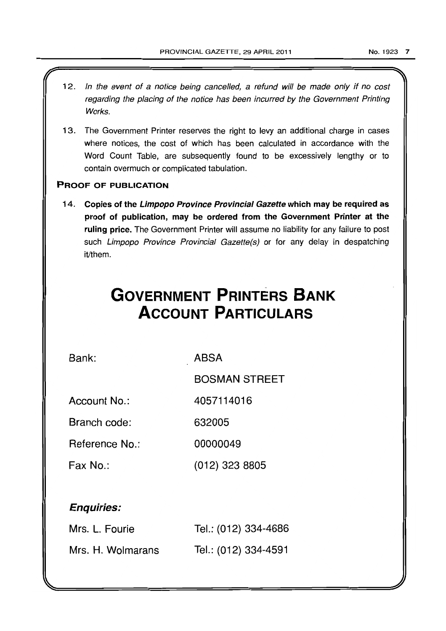- 12. In the event of a notice being cancelled, a refund will be made only if no cost regarding the placing of the notice has been incurred by the Government Printing Works.
- 13. The Government Printer reserves the right to levy an additional charge in cases where notices, the cost of which has been calculated in accordance with the Word Count Table, are subsequently found to be excessively lengthy or to contain overmuch or complicated tabulation.

## PROOF OF PUBLICATION

14. Copies of the Limpopo Province Provincial Gazette which may be required as proof of publication, may be ordered from the Government Printer at the ruling price. The Government Printer will assume no liability for any failure to post such Limpopo Province Provincial Gazette(s) or for any delay in despatching it/them.

# **GOVERNMENT PRINTERS BANK ACCOUNT PARTICULARS**

Bank:

ABSA

BOSMAN STREET

Account No.: 4057114016

Branch code: 632005

Reference No.: 00000049

Fax No.: (012) 323 8805

## Enquiries:

| Mrs. L. Fourie    | Tel.: (012) 334-4686 |
|-------------------|----------------------|
| Mrs. H. Wolmarans | Tel.: (012) 334-4591 |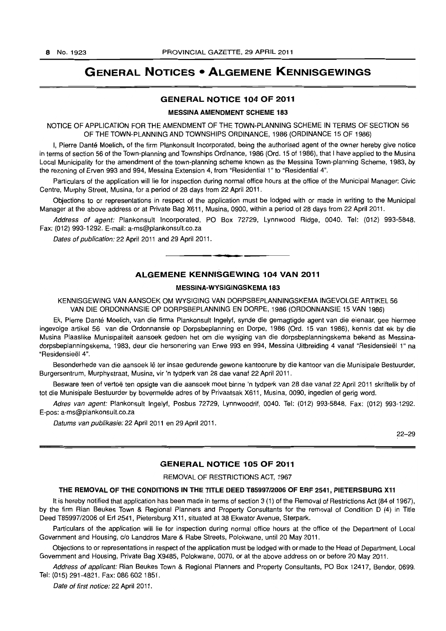## GENERAL NOTICES • ALGEMENE KENNISGEWINGS

#### GENERAL NOTICE 104 OF 2011

## MESSINA AMENDMENT SCHEME 183

NOTICE OF APPLICATION FOR THE AMENDMENT OF THE TOWN-PLANNING SCHEME IN TERMS OF SECTION 56 OF THE TOWN-PLANNING AND TOWNSHIPS ORDINANCE, 1986 (ORDINANCE 15 OF 1986)

I, Pierre Danté Moelich, of the firm Plankonsult Incorporated, being the authorised agent of the owner hereby give notice in terms of section 56 of the Town-planning and Townships Ordinance, 1986 (Ord. 15 of 1986), that I have applied to the Musina Local Municipality for the amendment of the town-planning scheme known as the Messina Town-planning Scheme, 1983, by the rezoning of Erven 993 and 994, Messina Extension 4, from "Residential 1" to "Residential 4".

Particulars of the application will lie for inspection during normal office hours at the office of the Municipal Manager: Civic Centre, Murphy Street, Musina, for a period of 28 days from 22 April 2011.

Objections to or representations in respect of the application must be lodged with or made in writing to the Municipal Manager at the above address or at Private Bag X611, Musina, 0900, within a period of 28 days from 22 April 2011.

Address of agent: Plankonsult Incorporated, PO Box 72729, Lynnwood Ridge, 0040. Tel: (012) 993-5848. Fax: (012) 993-1292. E-mail: a-ms@plankonsult.co.za

Dates of publication: 22 April 2011 and 29 April 2011.

## ALGEMENE KENNISGEWING 104 VAN 2011

• **• I** 

#### MESSINA·WVSIGINGSKEMA 183

KENNISGEWING VAN AANSOEK OM WYSIGING VAN DORPSBEPLANNINGSKEMA INGEVOLGE ARTIKEL 56 VAN DIE ORDONNANSIE OP DORPSBEPLANNING EN DORPE, 1986 (ORDONNANSIE 15 VAN 1986)

Ek, Pierre Dante Moelich, van die firma Plankonsult Ingelyf, synde die gemagtigde agent van die eienaar, gee hiermee ingevolge artikel 56 van die Ordonnansie op Dorpsbeplanning en Dorpe, 1986 (Ord. 15 van 1986), kennis dat ek by die Musina Plaaslike Munisipaliteit aansoek gedoen het om die wysiging van die dorpsbeplanningskema bekend as Messinadorpsbeplanningskema, 1983, deur die hersonering van Erwe 993 en 994, Messina Uitbreiding 4 vanaf "Residensieël 1" na "ResidensieeI4".

Besonderhede van die aansoek Ie ter insae gedurende gewone kantoorure by die kantoor van die Munisipale Bestuurder, Burgersentrum, Murphystraat, Musina, vir 'n tydperk van 28 dae vanaf 22 April 2011.

Besware teen of vertoë ten opsigte van die aansoek moet binne 'n tydperk van 28 dae vanaf 22 April 2011 skriftelik by of tot die Munisipale Bestuurder by bovermelde adres of by Privaatsak X611, Musina, 0090, ingedien of gerig word.

Adres van agent: Plankonsult Ingelyf. Posbus 72729, Lynnwoodrif, 0040. Tel: (012) 993-5848. Fax: (012) 993-1292. E-pos: a-ms@plankonsult.co.za

Datums van publikasie: 22 April 2011 en 29 April 2011.

22-29

## GENERAL NOTICE 105 OF 2011

#### REMOVAL OF RESTRICTIONS ACT, 1967

#### THE REMOVAL OF THE CONDITIONS IN THE TITLE DEED T85997/2006 OF ERF 2541, PIETERSBURG Xl1

It is hereby notified that application has been made in terms of section 3 (1) of the Removal of Restrictions Act (84 of 1967), by the firm Rian Beukes Town & Regional Planners and Property Consultants for the removal of Condition D (4) in Title Deed T85997/2006 of Erf 2541, Pietersburg X 11, situated at 38 Ekwator Avenue, Sterpark.

Particulars of the application will lie for inspection during normal office hours at the office of the Department of Local Government and Housing, c/o Landdros Mare & Rabe Streets, Polokwane, until 20 May 2011.

Objections to or representations in respect of the application must be lodged with or made to the Head of Department, Local Government and Housing, Private Bag X9485, Polokwane, 0070, or at the above address on or before 20 May 2011.

Address of applicant: Rian Beukes Town & Regional Planners and Property Consultants, PO Box 12417, Bendor, 0699. Tel: (015) 291-4821. Fax: 086 6021851.

Date of first notice: 22 April 2011.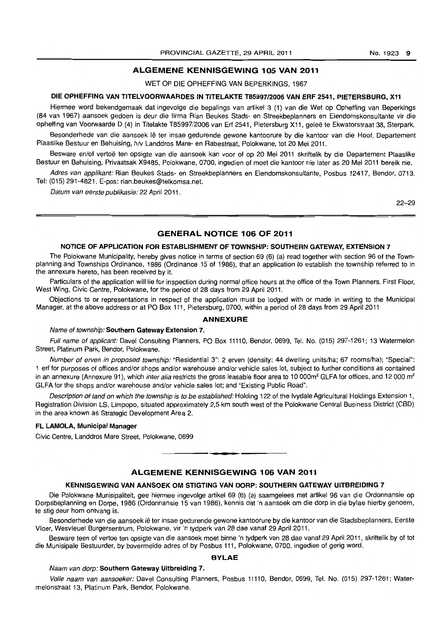## **ALGEMENE KENNISGEWING 105 VAN 2011**

#### WET OP DIE OPHEFFING VAN BEPERKINGS, 1967

#### **DIE OPHEFFING VAN TITELVOORWAARDES IN TITELAKTE T85997/2006 VAN ERF 2541, PIETERSBURG, X11**

Hiermee word bekendgemaak dat ingevolge die bepalings van artikel 3 (1) van die Wet op Opheffing van Beperkings (84 van 1967) aansoek gedoen is deur die firma Rian Beukes Stads- en Streekbeplanners en Eiendomskonsultante vir die opheffing van Voorwaarde D (4) in Titelakte T85997/2006 van Erf 2541, Pietersburg X11, gelee te Ekwatorstraat 38, Sterpark.

Besonderhede van die aansoek lê ter insae gedurende gewone kantoorure by die kantoor van die Hoof, Departement Plaaslike Bestuur en Behuising, h/v Landdros Mare- en Rabestraat, Polokwane, tot 20 Mei 2011.

Besware en/of vertoe ten opsigte van die aansoek kan voor of op 20 Mei 2011 skriftelik by die Departement Plaaslike Bestuur en Behuising, Privaatsak X9485, Polokwane, 0700, ingedien of moet die kantoor nie later as 20 Mei 2011 bereik nie.

Adres van applikant: Rian Beukes Stads- en Streekbeplanners en Eiendomskonsultante, Posbus 12417, Bendor, 0713. Tel: (015) 291-4821. E-pos: rian.beukes@telkomsa.net.

Datum van eerste publikasie: 22 April 2011.

22-29

## **GENERAL NOTICE 106 OF 2011**

#### **NOTICE OF APPLICATION FOR ESTABLISHMENT OF TOWNSHIP: SOUTHERN GATEWAY, EXTENSION** 7

The Polokwane Municipality, hereby gives notice in terms of section 69 (6) (a) read together with section 96 of the Townplanning and Townships Ordinance, 1986 (Ordinance 15 of 1986), that an application to establish the township referred to in the annexure hereto, has been received by it.

Particulars of the application will lie for inspection during normal office hours at the office of the Town Planners, First Floor, West Wing, Civic Centre, Polokwane, for the period of 28 days from 29 April 2011.

Objections to or representations in respect of the application must be lodged with or made in writing to the Municipal Manager, at the above address or at PO Box 111, Pietersburg, 0700, within a period of 28 days from 29 April 2011

#### **ANNEXURE**

#### Name of township: **Southern Gateway Extension** 7.

Full name of applicant: Davel Consulting Planners, PO Box 11110, Bendor, 0699, Tel. No. (015) 297-1261; 13 Watermelon Street, Platinum Park, Bendor, Polokwane.

Number of erven in proposed township: "Residential 3": 2 erven (density: 44 dwelling units/ha; 67 rooms/ha); "Special": 1 ert for purposes of offices and/or shops and/or warehouse and/or vehicle sales lot, subject to further conditions as contained in an annexure (Annexure 91), which *inter alia* restricts the gross leasable floor area to 10 000m<sup>2</sup> GLFA for offices, and 12 000 m<sup>2</sup> GLFA for the shops and/or warehouse and/or vehicle sales lot; and "Existing Public Road".

Description of land on which the township is to be established: Holding 122 of the Ivydale Agricultural Holdings Extension 1, Registration Division LS, Limpopo, situated approximately 2,5 km south west of the Polokwane Central Business District (CBD) in the area known as Strategic Development Area 2.

#### **FL LAMOLA, Municipal Manager**

Civic Centre, Landdros Mare Street, Polokwane, 0699

## **ALGEMENE KENNISGEWING 106 VAN 2011**

**• •** 

#### **KENNISGEWING VAN AANSOEK OM STIGTING VAN DORP: SOUTHERN GATEWAY UITBREIDING 7**

Die Polokwane Munisipaliteit, gee hiermee ingevolge artikel 69 (6) (a) saamgelees met artikel 96 van die Ordonnansie op Dorpsbeplanning en Dorpe, 1986 (Ordonnansie 15 van 1986), kennis dat 'n aansoek om die dorp in die bylae hierby genoem, te stig deur hom ontvang is.

Besonderhede van die aansoek lê ter insae gedurende gewone kantoorure by die kantoor van die Stadsbeplanners, Eerste Vloer, Wesvleuel Burgersentrum, Polokwane, vir 'n tydperk van 28 dae vanaf 29 April 2011.

Besware teen of vertoe ten opsigte van die aansoek moet binne 'n tydperk van 28 dae vanaf 29 April 2011, skriftelik by of tot die Munisipale Bestuurder, by bovermelde adres of by Posbus 111, Polokwane, 0700, ingedien of gerig word.

#### **BYLAE**

#### Naam van dorp: **Southern Gateway Uitbreiding 7.**

Volle naam van aansoeker: Davel Consulting Planners, Posbus 11110, Bendor, 0699, Tel. No. (015) 297-1261; Watermelonstraat 13, Platinum Park, Bendor, Polokwane.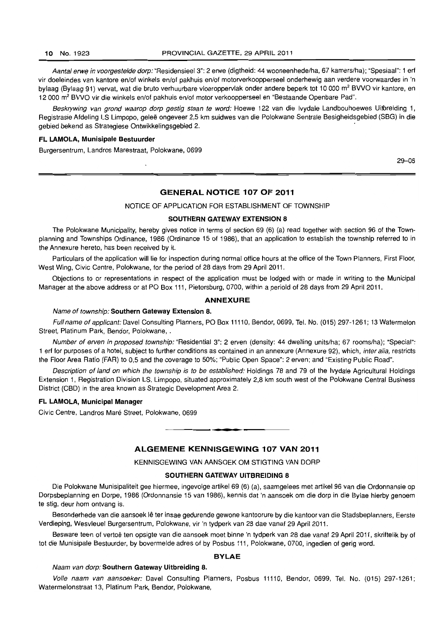Aantal erwe in voorgestelde dorp: "Residensieel 3": 2 erwe (digtheid: 44 wooneenhede/ha, 67 kamers/ha); "Spesiaal": 1 erf vir doeleindes van kantore en/of winkels en/of pakhuis en/of motorverkoopperseel onderhewig aan verdere voorwaardes in 'n bylaag (Bylaag 91) vervat, wat die bruto verhuurbare vloeroppervlak onder andere beperk tot 10 000 m<sup>2</sup> BVVO vir kantore, en 12 000 m<sup>2</sup> BVVO vir die winkels en/of pakhuis en/of motor verkoopperseel en "Bestaande Openbare Pad".

Beskrywing van grond waarop dorp gestig staan fe word: Hoewe 122 van die Ivydale Landbouhoewes Uitbreiding 1, Registrasie Afdeling LS Limpopo, gelee ongeveer 2,5 km suidwes van die Polokwane Sentrale Besigheidsgebied (SBG) in die gebied bekend as Strategiese Ontwikkelingsgebied 2. .

#### **FL LAMOLA, Munisipale Bestuurder**

Burgersentrum, Landros Marestraat, Polokwane, 0699

29-06

#### **GENERAL NOTICE 107 OF 2011**

NOTICE OF APPLICATION FOR ESTABLISHMENT OF TOWNSHIP

#### **SOUTHERN GATEWAY EXTENSION** 8

The Polokwane Municipality, hereby gives notice in terms of section 69 (6) (a) read together with section 96 of the Townplanning and Townships Ordinance, 1986 (Ordinance 15 of 1986), that an application to establish the township referred to in the Annexure hereto, has been received by it.

Particulars of the application will lie for inspection during normal office hours at the office of the Town Planners, First Floor, West Wing, Civic Centre, Polokwane, for the period of 28 days from 29 April 2011.

Objections to or representations in respect of the application must be lodged with or made in writing to the Municipal Manager at the above address or at PO Box 111, Pietorsburg, 0700, within a periold of 28 days from 29 April 2011.

#### **ANNEXURE**

#### Name of township: **Southern Gateway Extension 8.**

Full name of applicant: Davel Consulting Planners, PO Box 11110, Bendor, 0699, Tel. No. (015) 297-1261; 13 Watermelon Street, Platinum Park, Bendor, Polokwane, .

Number of erven in proposed township: "Residential 3": 2 erven (density: 44 dwelling units/ha; 67 rooms/ha); "Special": 1 erf for purposes of a hotel, subject to further conditions as contained in an annexure (Annexure 92), which, inter alia, restricts the Floor Area Ratio (FAR) to 0,5 and the coverage to 50%; "Public Open Space": 2 erven; and "Existing Public Road".

Description of land on which the township is to be established: Holdings 78 and 79 of the Ivydale Agricultural Holdings Extension 1, Registration Division LS, Limpopo, situated approximately 2,8 km south west of the Polokwane Central Business District (CBD) in the area known as Strategic Development Area 2.

#### **FL LAMOLA, Municipal Manager**

Civic Centre, Landros Mare Street, Polokwane, 0699

#### **ALGEMENE KENNISGEWING 107 VAN 2011**

. **- .** 

KENNISGEWING VAN AANSOEK OM STIGTING VAN DORP

#### **SOUTHERN GATEWAY UITBREIDING 8**

Die Polokwane Munisipaliteit gee hiermee, ingevolge artikel 69 (6) (a), saamgelees met artikel 96 van die Ordonnansie op Dorpsbeplanning en Dorpe, 1986 (Ordonnansie 15 van 1986), kennis dat 'n aansoek om die dorp in die Bylae hierby genoem te stig, deur hom ontvang is.

Besonderhede van die aansoek lê ter insae gedurende gewone kantoorure by die kantoor van die Stadsbeplanners, Eerste Verdieping, Wesvleuel Burgersentrum, Polokwane, vir 'n tydperk van 28 dae vanaf 29 April 2011.

Besware teen of vertoë ten opsigte van die aansoek moet binne 'n tydperk van 28 dae vanaf 29 April 2011, skriftelik by of tot die Munisipale Bestuurder, by bovermelde adres of by Posbus 111, Polokwane, 0700, ingedien of gerig word.

#### **BYLAE**

#### Naam van dorp: **Southern Gateway Uitbreiding 8.**

Volle naam van aansoeker: Davel Consulting Planners, Posbus 11110, Bendor, 0699, Tel. No. (015) 297-1261; Watermelonstraat 13, Platinum Park, Bendor, Polokwane,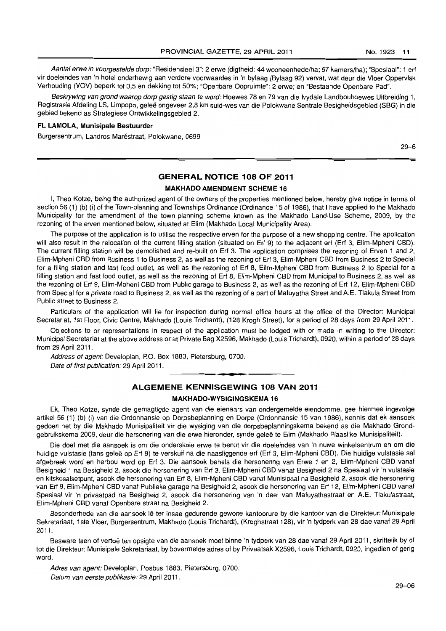Aantal erwe in voorgestelde dorp: "Residensieel 3": 2 erwe (digtheid: 44 wooneenhede/ha; 67 kamers/ha); "Spesiaal": 1 erf vir doeleindes van 'n hotel onderhewig aan verdere voorwaardes in 'n bylaag (Bylaag 92) vervat, wat deur die Vloer Oppervlak Verhouding (VOV) beperk tot 0,5 en dekking tot 50%; "Openbare Oopruimte": 2 erwe; en "Bestaande Openbare Pad".

Beskrywing van grond waarop dorp gestig staan te word: Hoewes 78 en 79 van die Ivydale Landbouhoewes Uitbreiding 1, Registrasie Afdeling LS, Limpopo, geleë ongeveer 2,8 km suid-wes van die Polokwane Sentrale Besigheidsgebied (SBG) in die gebied bekend as Strategiese Ontwikkelingsgebied 2.

#### **FL LAMOLA, Munisipale Bestuurder**

Burgersentrum, Landros Maréstraat, Polokwane, 0699

29-6

## **GENERAL NOTICE 108 OF 2011**

#### **MAKHADO AMENDMENT SCHEME 16**

I, Theo Kotze, being the authorized agent of the owners of the properties mentioned below, hereby give notice in terms of section 56 (1) (b) (i) of the Town-planning and Townships Ordinance (Ordinance 15 of 1986), that I have applied to the Makhado Municipality for the amendment of the town-planning scheme known as the Makhado Land-Use Scheme, 2009, by the rezoning of the erven mentioned below, situated at Elim (Makhado Local Municipality Area).

The purpose of the application is to utilise the respective erven for the purpose of a new shopping centre. The application will also result in the relocation of the current filling station (situated on Erf 9) to the adjacent erf (Erf 3, Elim-Mpheni CBD). The current filling station will be demolished and re-built on Erf 3. The application comprises the rezoning of Erven 1 and 2, Elim-Mpheni CBD from Business 1 to Business 2, as well as the rezoning of Erf 3, Elim-Mpheni CBD from Business 2 to Special for a filling station and fast food outlet, as well as the rezoning of Erf 8, Elim-Mpheni CBD from Business 2 to Special for a filling station and fast food outlet, as well as the rezoning of Erf 8, Elim-Mpheni CBD from Municipal to Business 2, as well as the rezoning of Erf 9, Elim-Moheni CBD from Public garage to Business 2, as well as the rezoning of Erf 12, Elim-Mpheni CBD from Special for a private road to Business 2, as well as the rezoning of a part of Mafuyatha Street and A.E. Tlakula Street from Public street to Business 2.

Particulars of the application will lie for inspection during normal office hours at the office of the Director: Municipal Secretariat, 1st Floor, Civic Centre, Makhado (Louis Trichardt), (128 Krogh Street), for a period of 28 days from 29 April 2011.

Objections to or representations in respect of the application must be lodged with or made in writing to the Director: Municipal Secretariat at the above address or at Private Bag X2596, Makhado (Louis Trichardt), 0920, within a period of 28 days from 29 April 2011.

Address of agent: Developlan, P.O. Box 1883, Pietersburg, 0700. Date of first publication: 29 April 2011.

## . **- . ALGEMENE KENNISGEWING 108 VAN 2011 MAKHADO-WVSIGINGSKEMA 16**

Ek, Theo Kotze, synde die gemagtigde agent van die eienaars van ondergemelde eiendomme, gee hiermee ingevolge artikel 56 (1) (b) (i) van die Ordonnansie op Dorpsbeplanning en Dorpe (Ordonnansie 15 van 1986). kennis dat ek aansoek gedoen het by die Makhado Munisipaliteit vir die wysiging van die dorpsbeplanningskema bekend as die Makhado Grondgebruikskema 2009, deur die hersonering van die erwe hieronder, synde gelee te Elim (Makhado Plaaslike Munisipaliteit).

Die doel met die aansoek is om die onderskeie erwe te benut vir die doeleindes van 'n nuwe winkelsentrum en om die huidige vulstasie (tans gelee op Erf 9) te verskuif na die naasliggende erf (Erf 3, Elim-Mpheni CBD). Die huidige vulstasie sal afgebreek word en herbou word op Erf 3. Die aansoek behels die hersonering van Erwe 1 en 2, Elim-Mpheni CBD vanaf Besigheid 1 na Besigheid 2, asook die hersonering van Erf 3, Elim-Mpheni CBD vanaf Besigheid 2 na Spesiaal vir 'n vulstasie en kitskosafsetpunt, asook die hersonering van Erf 8, Elim-Mpheni CBD vanaf Munisipaal na Besigheid 2, asook die hersonering van Ert 9, Elim-Mpheni CBD vanaf Publieke garage na Besigheid 2, asook die hersonering van Erf 12, Elim-Mpheni CBD vanaf Spesiaal vir 'n privaatpad na Besigheid 2, asook die hersonering van 'n deel van Mafuyathastraat en AE. Tlakulastraat, Elim-Mpheni CBD vanaf Openbare straat na Besigheid 2.

Besonderhede van die aansoek Ie ter insae gedurende gewone kantoorure by die kantoor van die Direkteur: Munisipale Sekretariaat, 1 ste Vloer, Burgersentrum, Makhado (Louis Trichardt), (Kroghstraat 128), vir 'n tydperk van 28 dae vanaf 29 April 2011.

Besware teen of vertoë ten opsigte van die aansoek moet binne 'n tydperk van 28 dae vanaf 29 April 2011, skriftelik by of tot die Direkteur: Munisipale Sekretariaat, by bovermelde adres of by Privaatsak X2596, Louis Trichardt, 0920, ingedien of gerig word.

Adres van agent: Developlan, Posbus 1883, Pietersburg, 0700. Datum van eerste publikasie: 29 April 2011 .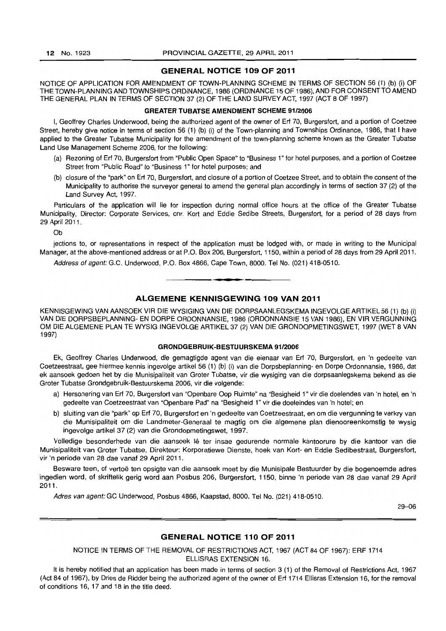## **GENERAL NOTICE 109 OF 2011**

NOTICE OF APPLICATION FOR AMENDMENT OF TOWN-PLANNING SCHEME **IN** TERMS OF SECTION 56 (1) (b) (i) OF THE TOWN-PLANNING AND TOWNSHIPS ORDINANCE, 1986 (ORDINANCE 15 OF 1986), AND FOR CONSENT TO AMEND THE GENERAL PLAN IN TERMS OF SECTION 37 (2) OF THE LAND SURVEY ACT, 1997 (ACT 8 OF 1997)

#### **GREATER TUBATSE AMENDMENT SCHEME 91/2006**

I, Geoffrey Charles Underwood, being the authorized agent of the owner of Erf 70, Burgersfort, and a portion of Coetzee Street, hereby give notice in terms of section 56 (1) (b) (i) of the Town-planning and Townships Ordinance, 1986. that I have applied to the Greater Tubatse Municipality for the amendment of the town-planning scheme known as the Greater Tubatse Land Use Management Scheme 2006, for the following:

- (a) Rezoning of Erf 70, Burgersfort from "Public Open Space" to "Business 1" for hotel purposes, and a portion of Coetzee Street from "Public Road" to "Business 1" for hotel purposes; and
- (b) closure of the ·park" on Erf 70. Burgersfort, and closure of a portion of Coetzee Street. and to obtain the consent of the Municipality to authorise the surveyor general to amend the general plan accordingly in terms of section 37 (2) of the Land Survey Act. 1997.

Particulars of the application will lie for inspection during normal office hours at the office of the Greater Tubatse Municipality, Director: Corporate Services, cnr. Kort and Eddie Sedibe Streets, Burgersfort, for a period of 28 days from 29 April 2011.

Ob

jections to, or representations in respect of the application must be lodged with. or made in writing to the Municipal Manager, at the above-mentioned address or at P.O. Box 206, Burgersfort, 1150, within a period of 28 days from 29 April 2011.

Address of agent: G.C. Underwood, P.O. Box 4866, Cape Town, 8000. Tel No. (021) 418-0510.

## **ALGEMENE KENNISGEWING 109 VAN 2011**

T **\_ I** 

KENNISGEWING VAN AANSOEK VIR DIE WYSIGING VAN DIE DORPSAANLEGSKEMA INGEVOLGE ARTIKEL 56 (1) (b) (i) VAN DIE DORPSBEPLANNING- EN DORPE ORDONNANSIE, 1986 (ORDONNANSIE 15 VAN 1986), EN VIR VERGUNNING OM DIE ALGEMENE PLAN TE WYSIG INGEVOLGE ARTIKEL 37 (2) VAN DIE GRONDOPMETINGSWET, 1997 (WET 8 VAN 1997)

#### **GRONDGEBRUIK-BESTUURSKEMA 91/2006**

Ek, Geoffrey Charles Underwood, die gemagtigde agent van die eienaar *van* Erf 70, Burgersfort, en 'n gedeelte van Coetzeestraat, gee hiermee kennis ingevolge artikel56 (1) (b) (i) *van* die Dorpsbeplanning- en Dorpe Ordonnansie, 1986, dat ek aansoek gedoen het by die Munisipaliteit van Groter Tubatse, vir die wysiging van die dorpsaanlegskema bekend as die Groter Tubatse Grondgebruik-Bestuurskema 2006, vir die volgende:

- a) Hersonering van Erf 70, Burgersfort van "Openbare Oop Ruimte" na "Besigheid 1" vir die doelendes van 'n hotel, en 'n gedeelte van Coetzeestraat van "Openbare Pad" na "Besigheid 1" vir die doeleindes *van* 'n hotel; en
- b) sluiting van die "park" op Erf 70, Burgersfort en 'n gedeelte van Coetzeestraat, en om die vergunning te verkry *van*  die Munisipaliteit om die Landmeter-Generaal te magtig om die algemene plan dienooreenkomstig te wysig ingevolge artikel 37 (2) van die Grondopmetingswet, 1997.

Volledige besonderhede van die aansoek lê ter insae gedurende normale kantoorure by die kantoor van die Munisipaliteit van Grater Tubatse, Direkteur: Korporatiewe Dienste, hoek *van* Kort- en Eddie Sedibestraat, Burgersfort, vir 'n periode van 28 dae vanaf 29 April 2011.

Besware teen. of vertoe ten opsigte *van* die aansoek moet by die Munisipale Bestuurder by die bogenoemde adres ingedien word, of skriftelik gerig word aan Posbus 206, Burgersfort, 1150, binne 'n periode van 28 dae vanaf 29 April 2011.

Adres van agent: GC Underwood, Posbus 4866, Kaapstad, 8000. Tel No. (021) 418-0510.

29-06

## **GENERAL NOTICE 110 OF 2011**

NOTICE IN TERMS OF THE REMOVAL OF RESTRICTIONS ACT, 1967 (ACT 84 OF 1967): ERF 1714 ELLISRAS EXTENSION 16.

It is hereby notified that an application has been made in terms of section 3 (1) of the Removal of Restrictions Act, 1967 (Act 84 of 1967), by Dries de Ridder being the authorized agent of the owner of Erf 1714 Ellisras Extension 16, for the removal of conditions 16, 17 and 18 in the title deed.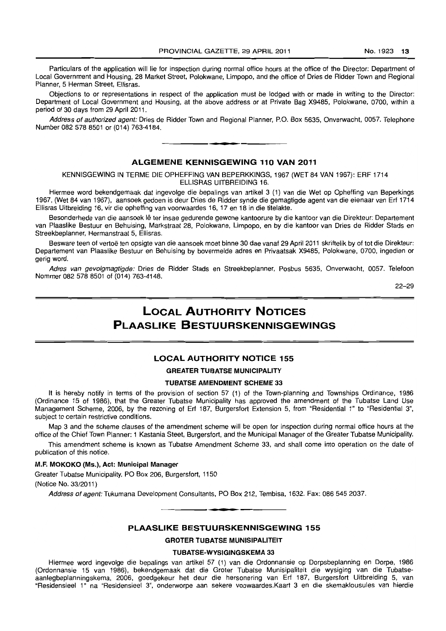Particulars of the application will lie for inspection during normal office hours at the office of the Director: Department of Local Government and Housing, 28 Market Street, Polokwane, Limpopo, and the office of Dries de Ridder Town and Regional Planner, 5 Herman Street, Ellisras.

Objections to or representations in respect of the application must be lodged with or made in writing to the Director: Department of Local Government and Housing, at the above address or at Private Bag X9485, Polokwane, 0700, within a period of 30 days from 29 April 2011.

Address of authorized agent: Dries de Ridder Town and Regional Planner, P.O. Box 5635, Onverwacht, 0057. Telephone Number 082 578 8501 or (014) 763-4184. . **-.** 

## ALGEMENE KENNISGEWING 110 VAN 2011

KENNISGEWING IN TERME DIE OPHEFFING VAN BEPERKKINGS, 1967 (WET 84 VAN 1967): ERF 1714 ELLISRAS UITBREIDING 16.

Hiermee word bekendgemaak dat ingevolge die bepalings van artikel 3 (1) van die Wet op Opheffing van Beperkings 1967, (Wet 84 van 1967), aansoek gedoen is deur Dries de Ridder synde die gemagtigde agent van die eienaar van Erf 1714 Ellisras Uitbreiding 16, vir die opheffing van voorwaardes 16, 17 en 18 in die titelakte.

Besonderhede van die aansoek lê ter insae gedurende gewone kantoorure by die kantoor van die Direkteur: Departement van Plaaslike Bestuur en Behuising, Markstraat 28, Polokwane, Limpopo, en by die kantoor van Dries de Ridder Stads en Streekbeplanner, Hermanstraat 5, Ellisras.

Besware teen of vertoë ten opsigte van die aansoek moet binne 30 dae vanaf 29 April 2011 skriftelik by of tot die Direkteur: Departement van Plaaslike Bestuur en Behuising by bovermelde adres en Privaatsak X9485, Polokwane, 0700, ingedien or gerig word.

Adres van gevolgmagtigde: Dries de Ridder Stads en Streekbeplanner, Posbus 5635, Onverwacht, 0057. Telefoon Nommer 0825788501 of (014) 763-4148.

22-29

## **LOCAL AUTHORITY NOTICES PI AASLIKE BESTUURSKENNISGEWINGS**

## LOCAL AUTHORITY NOTICE 155

#### GREATER TUBATSE MUNICIPALITY

#### TUBATSE AMENDMENT SCHEME 33

It is hereby notify in terms of the provision of section 57 (1) of the Town-planning and Townships Ordinance, 1986 (Ordinance 15 of 1986), that the Greater Tubatse Municipality has approved the amendment of the Tubatse Land Use Management Scheme, 2006, by the rezoning of Erf 187, Burgersfort Extension 5, from "Residential 1" to "Residential 3", subject to certain restrictive conditions.

Map 3 and the scheme clauses of the amendment scheme will be open for inspection during normal office hours at the office of the Chief Town Planner: 1 Kastania Steet, Burgersfort, and the Municipal Manager of the Greater Tubatse Municipality.

This amendment scheme is known as Tubatse Amendment Scheme 33, and shall come into operation on the date of publication of this notice.

#### M.F. MOKOKO (MS.), Act: Municipal Manager

Greater Tubatse Municipality, PO Box 206, Burgersfort, 1150 (Notice No. 33/2011)

Address of agent: Tukumana Development Consultants, PO Box 212, Tembisa, 1632. Fax: 086 545 2037.

#### PLAASLIKE BESTUURSKENNISGEWING 155

**• •** 

GROTER TUBATSE MUNISIPALITEIT

#### TUBATSE~WYSIGINGSKEMA 33

Hiermee word ingevolge die bepalings van artikel 57 (1) van die Ordonnansie op Dorpsbeplanning en Dorpe, 1986 (Ordonnansie 15 van 1986), bekendgemaak dat die Groter Tubatse Munisipaliteit die wysiging van die Tubatseaanlegbeplanningskema, 2006, goedgekeur het deur die hersonering van Ert 187, Burgersfort Uitbreiding 5, van "Residensieel 1" na "Residensieel 3", onderworpe aan sekere voowaardes.Kaart 3 en die skemaklousules van hierdie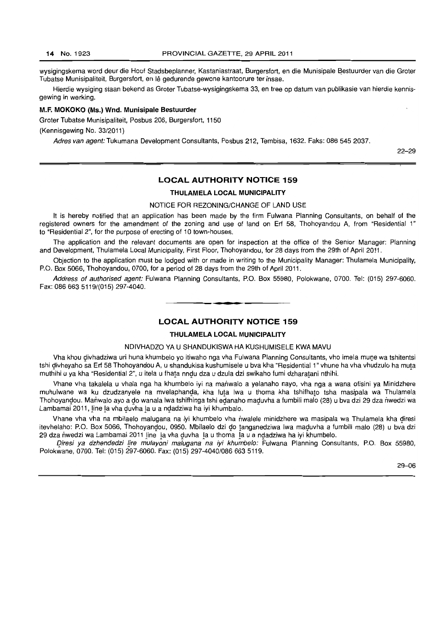wysigingskema word deur die Hoof Stadsbeplanner, Kastaniastraat, Burgersfort, en die Munisipale Bestuurder van die Groter Tubatse Munisipaliteit, Burgersfort, en Ie gedurende gewone kantoorure ter insae.

Hierdie wysiging staan bekend as Groter Tubatse-wysigingskema 33, en tree op datum van publikasie van hierdie kennisgewing in werking.

#### M.F. MOKOKO (Ms.) Wnd. Munisipale Bestuurder

Groter Tubatse Munisipaliteit, Posbus 206, Burgersfort, 1150

(Kennisgewing No. 33/2011)

Adres van agent: Tukumana Development Consultants, Posbus 212, Tembisa, 1632. Faks: 086 545 2037.

22-29

## LOCAL AUTHORITY NOTICE 159

## THULAMELA LOCAL MUNICIPALITY

#### NOTICE FOR REZONING/CHANGE OF LAND USE

It is hereby notified that an application has been made by the firm Fulwana Planning Consultants, on behalf of the registered owners for the amendment of the zoning and use of land on Erf 58, Thohoyandou A, from "Residential 1" to "Residential 2", for the purpose of erecting of 10 town-houses.

The application and the relevant documents are open for inspection at the office of the Senior Manager: Planning and Development, Thulamela Local Municipality, First Floor, Thohoyandou, for 28 days from the 29th of April 2011.

Objection to the application must be lodged with or made in writing to the Municipality Manager: Thulamela Municipality, P.O. Box 5066, Thohoyandou, 0700, for a period of 28 days from the 29th of April 2011.

Address of authorised agent: Fulwana Planning Consultants, P.O. Box 55980, Polokwane, 0700. Tel: (015) 297-6060. Fax: 086 663 5119/(015) 297-4040.

#### LOCAL AUTHORITY NOTICE 159

• **• I** 

## THULAMELA LOCAL MUNICIPALITY

#### NDIVHADZO YA U SHANDUKISWA HA KUSHUMISELE KWA MAVU

Vha khou divhadziwa uri huna khumbelo yo itiwaho nga vha Fulwana Planning Consultants, vho imela mune wa tshitentsi tshi divheyaho sa Erf 58 Thohoyandou A, u shandukisa kushumisele u bva kha "Residential 1" vhune ha vha vhudzulo ha muta muthihi u ya kha "Residential 2", u itela u fhata nndu dza u dzula dzi swikaho fumi dzharatani nthihi.

Vhane vha takalela u vhala nga ha khumbelo iyi na mariwalo a yelanaho nayo, vha nga a wana ofisini ya Minidzhere muhulwane wa ku dzudzanyele na mvelaphanda, kha luta Iwa u thoma kha tshifhato tsha masipala wa Thulamela Thohoyandou. Manwalo ayo a do wanala lwa tshifhinga tshi edanaho maduvha a fumbili malo (28) u bva dzi 29 dza nwedzi wa Lambamai 2011, line la vha duvha la u a ndadziwa ha iyi khumbalo.

Vhane vha vha na mbilaelo malugana na iyi khumbelo vha nwalele minidzhere wa masipala wa Thulamela kha giresi itevhelaho: P.O. Box 5066, Thohoyandou, 0950. Mbilaelo dzi do tanganedziwa Iwa maduvha a fumbili malo (28) u bva dzi 29 dza nwedzi wa Lambamai 2011 line la vha duvha la u thoma la u a ndadziwa ha iyi khumbelo.

Diresi ya dzhendedzi lire mulayoni malugana na iyi khumbelo: Fulwana Planning Consultants, P.O. Box 55980, Polokwane, 0700. Tel: (015) 297-6060. Fax: (015) 297-4040/086 663 5119.